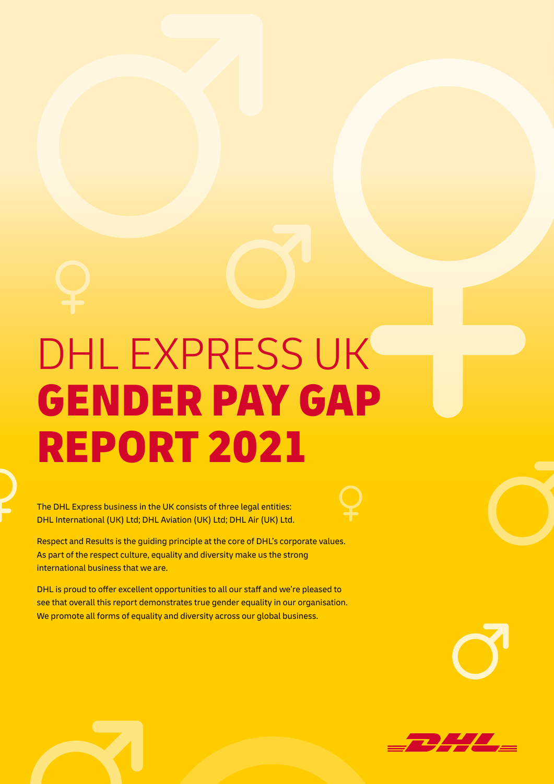# DHL EXPRESS UK GENDER PAY GAP REPORT 2021

The DHL Express business in the UK consists of three legal entities: DHL International (UK) Ltd; DHL Aviation (UK) Ltd; DHL Air (UK) Ltd.

Respect and Results is the guiding principle at the core of DHL's corporate values. As part of the respect culture, equality and diversity make us the strong international business that we are.

DHL is proud to offer excellent opportunities to all our staff and we're pleased to see that overall this report demonstrates true gender equality in our organisation. We promote all forms of equality and diversity across our global business.

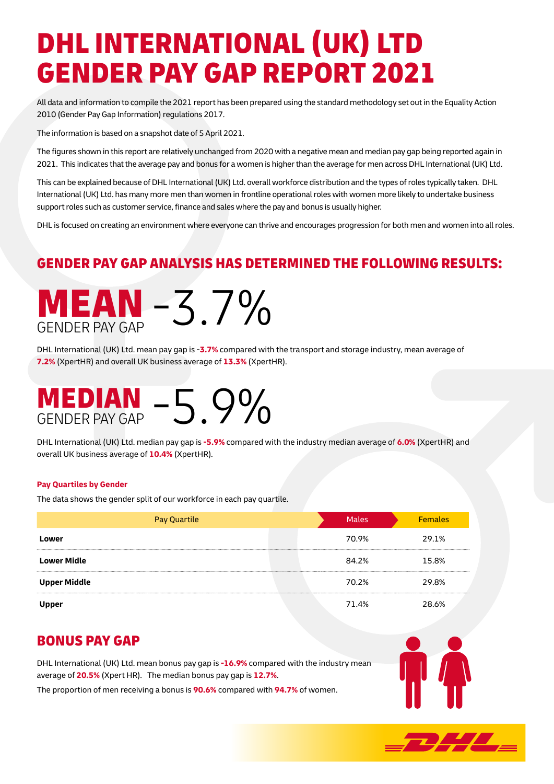# DHL INTERNATIONAL (UK) LTD GENDER PAY GAP REPORT 2021

All data and information to compile the 2021 report has been prepared using the standard methodology set out in the Equality Action 2010 (Gender Pay Gap Information) regulations 2017.

The information is based on a snapshot date of 5 April 2021.

The figures shown in this report are relatively unchanged from 2020 with a negative mean and median pay gap being reported again in 2021. This indicates that the average pay and bonus for a women is higher than the average for men across DHL International (UK) Ltd.

This can be explained because of DHL International (UK) Ltd. overall workforce distribution and the types of roles typically taken. DHL International (UK) Ltd. has many more men than women in frontline operational roles with women more likely to undertake business support roles such as customer service, finance and sales where the pay and bonus is usually higher.

DHL is focused on creating an environment where everyone can thrive and encourages progression for both men and women into all roles.

## GENDER PAY GAP ANALYSIS HAS DETERMINED THE FOLLOWING RESULTS:



DHL International (UK) Ltd. mean pay gap is -**3.7%** compared with the transport and storage industry, mean average of **7.2%** (XpertHR) and overall UK business average of **13.3%** (XpertHR).

# MEDIAN -5.9%

DHL International (UK) Ltd. median pay gap is **-5.9%** compared with the industry median average of **6.0%** (XpertHR) and overall UK business average of **10.4%** (XpertHR).

### **Pay Quartiles by Gender**

The data shows the gender split of our workforce in each pay quartile.

| <b>Pay Quartile</b> | <b>Males</b> | <b>Females</b> |
|---------------------|--------------|----------------|
| Lower               | 70.9%        | 29.1%          |
| <b>Lower Midle</b>  | 84.2%        | 15.8%          |
| <b>Upper Middle</b> | 70.2%        | 29.8%          |
| Upper               | 71.4%        | 28.6%          |

### BONUS PAY GAP

DHL International (UK) Ltd. mean bonus pay gap is **-16.9%** compared with the industry mean average of **20.5%** (Xpert HR). The median bonus pay gap is **12.7%**.

The proportion of men receiving a bonus is **90.6%** compared with **94.7%** of women.



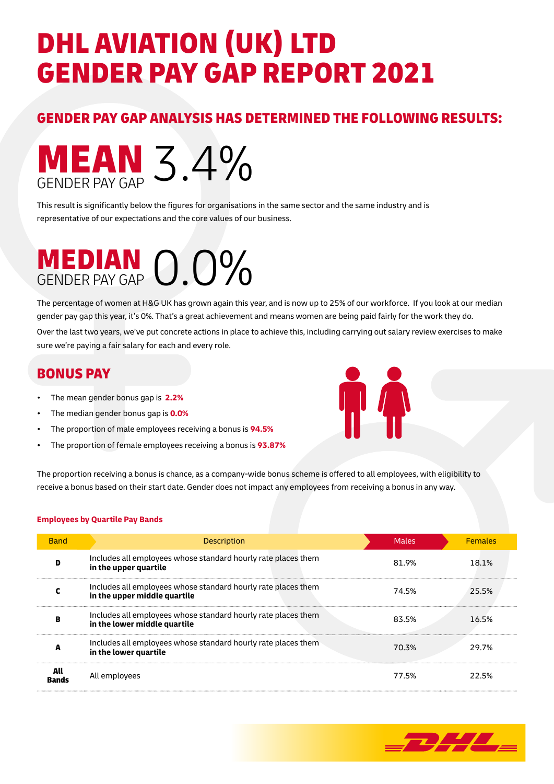# DHL AVIATION (UK) LTD GENDER PAY GAP REPORT 2021

## GENDER PAY GAP ANALYSIS HAS DETERMINED THE FOLLOWING RESULTS:



This result is significantly below the figures for organisations in the same sector and the same industry and is representative of our expectations and the core values of our business.

# MEDIAN 0.0%

The percentage of women at H&G UK has grown again this year, and is now up to 25% of our workforce. If you look at our median gender pay gap this year, it's 0%. That's a great achievement and means women are being paid fairly for the work they do.

Over the last two years, we've put concrete actions in place to achieve this, including carrying out salary review exercises to make sure we're paying a fair salary for each and every role.

### BONUS PAY

- The mean gender bonus gap is **2.2%**
- The median gender bonus gap is **0.0%**
- The proportion of male employees receiving a bonus is **94.5%**
- The proportion of female employees receiving a bonus is **93.87%**



The proportion receiving a bonus is chance, as a company-wide bonus scheme is offered to all employees, with eligibility to receive a bonus based on their start date. Gender does not impact any employees from receiving a bonus in any way.

### **Employees by Quartile Pay Bands**

| <b>Band</b>  | <b>Description</b>                                                                            | <b>Males</b> | <b>Females</b> |
|--------------|-----------------------------------------------------------------------------------------------|--------------|----------------|
| D            | Includes all employees whose standard hourly rate places them<br>in the upper quartile        | 81.9%        | 18.1%          |
|              | Includes all employees whose standard hourly rate places them<br>in the upper middle quartile | 74.5%        | 25.5%          |
| в            | Includes all employees whose standard hourly rate places them<br>in the lower middle quartile | 83.5%        | 16.5%          |
|              | Includes all employees whose standard hourly rate places them<br>in the lower quartile        | 70.3%        | 29.7%          |
| All<br>Bands | All employees                                                                                 | 77.5%        | 22.5%          |

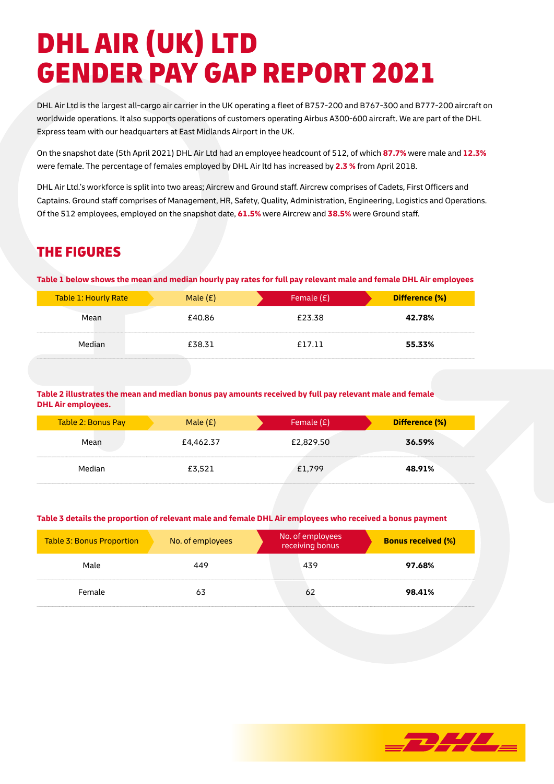# DHL AIR (UK) LTD GENDER PAY GAP REPORT 2021

DHL Air Ltd is the largest all-cargo air carrier in the UK operating a fleet of B757-200 and B767-300 and B777-200 aircraft on worldwide operations. It also supports operations of customers operating Airbus A300-600 aircraft. We are part of the DHL Express team with our headquarters at East Midlands Airport in the UK.

On the snapshot date (5th April 2021) DHL Air Ltd had an employee headcount of 512, of which **87.7%** were male and **12.3%** were female. The percentage of females employed by DHL Air ltd has increased by **2.3 %** from April 2018.

DHL Air Ltd.'s workforce is split into two areas; Aircrew and Ground staff. Aircrew comprises of Cadets, First Officers and Captains. Ground staff comprises of Management, HR, Safety, Quality, Administration, Engineering, Logistics and Operations. Of the 512 employees, employed on the snapshot date, **61.5%** were Aircrew and **38.5%** were Ground staff.

## THE FIGURES

**Table 1 below shows the mean and median hourly pay rates for full pay relevant male and female DHL Air employees**

| Table 1: Hourly Rate | Male $(E)$ | Female $(E)$ | Difference (%) |
|----------------------|------------|--------------|----------------|
| Mean                 | £40.86     | £23.38       | 42.78%         |
| Median               | £38.31     | £17.11       | 55.33%         |

#### **Table 2 illustrates the mean and median bonus pay amounts received by full pay relevant male and female DHL Air employees.**

| Table 2: Bonus Pay | Male $(E)$ | Female $(E)$ | Difference (%) |
|--------------------|------------|--------------|----------------|
| Mean               | £4,462.37  | £2,829.50    | 36.59%         |
| Median             | £3,521     | £1,799       | 48.91%         |

#### **Table 3 details the proportion of relevant male and female DHL Air employees who received a bonus payment**

| Table 3: Bonus Proportion | No. of employees |  | No. of employees<br>receiving bonus | <b>Bonus received (%)</b> |
|---------------------------|------------------|--|-------------------------------------|---------------------------|
| Male                      | 449              |  | 439                                 | 97.68%                    |
| Female                    | 63               |  | 62                                  | 98.41%                    |